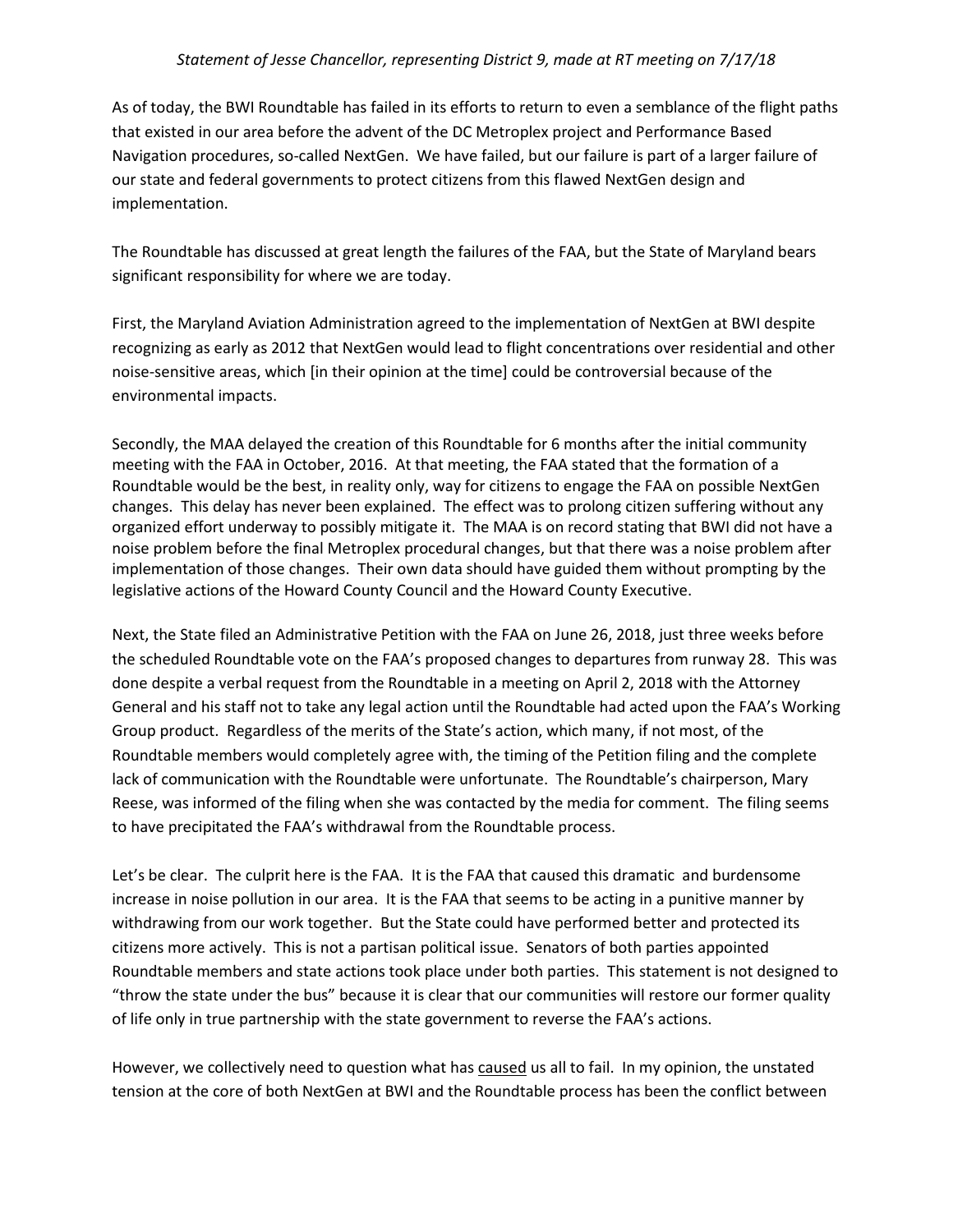As of today, the BWI Roundtable has failed in its efforts to return to even a semblance of the flight paths that existed in our area before the advent of the DC Metroplex project and Performance Based Navigation procedures, so-called NextGen. We have failed, but our failure is part of a larger failure of our state and federal governments to protect citizens from this flawed NextGen design and implementation.

The Roundtable has discussed at great length the failures of the FAA, but the State of Maryland bears significant responsibility for where we are today.

First, the Maryland Aviation Administration agreed to the implementation of NextGen at BWI despite recognizing as early as 2012 that NextGen would lead to flight concentrations over residential and other noise-sensitive areas, which [in their opinion at the time] could be controversial because of the environmental impacts.

Secondly, the MAA delayed the creation of this Roundtable for 6 months after the initial community meeting with the FAA in October, 2016. At that meeting, the FAA stated that the formation of a Roundtable would be the best, in reality only, way for citizens to engage the FAA on possible NextGen changes. This delay has never been explained. The effect was to prolong citizen suffering without any organized effort underway to possibly mitigate it. The MAA is on record stating that BWI did not have a noise problem before the final Metroplex procedural changes, but that there was a noise problem after implementation of those changes. Their own data should have guided them without prompting by the legislative actions of the Howard County Council and the Howard County Executive.

Next, the State filed an Administrative Petition with the FAA on June 26, 2018, just three weeks before the scheduled Roundtable vote on the FAA's proposed changes to departures from runway 28. This was done despite a verbal request from the Roundtable in a meeting on April 2, 2018 with the Attorney General and his staff not to take any legal action until the Roundtable had acted upon the FAA's Working Group product. Regardless of the merits of the State's action, which many, if not most, of the Roundtable members would completely agree with, the timing of the Petition filing and the complete lack of communication with the Roundtable were unfortunate. The Roundtable's chairperson, Mary Reese, was informed of the filing when she was contacted by the media for comment. The filing seems to have precipitated the FAA's withdrawal from the Roundtable process.

Let's be clear. The culprit here is the FAA. It is the FAA that caused this dramatic and burdensome increase in noise pollution in our area. It is the FAA that seems to be acting in a punitive manner by withdrawing from our work together. But the State could have performed better and protected its citizens more actively. This is not a partisan political issue. Senators of both parties appointed Roundtable members and state actions took place under both parties. This statement is not designed to "throw the state under the bus" because it is clear that our communities will restore our former quality of life only in true partnership with the state government to reverse the FAA's actions.

However, we collectively need to question what has caused us all to fail. In my opinion, the unstated tension at the core of both NextGen at BWI and the Roundtable process has been the conflict between